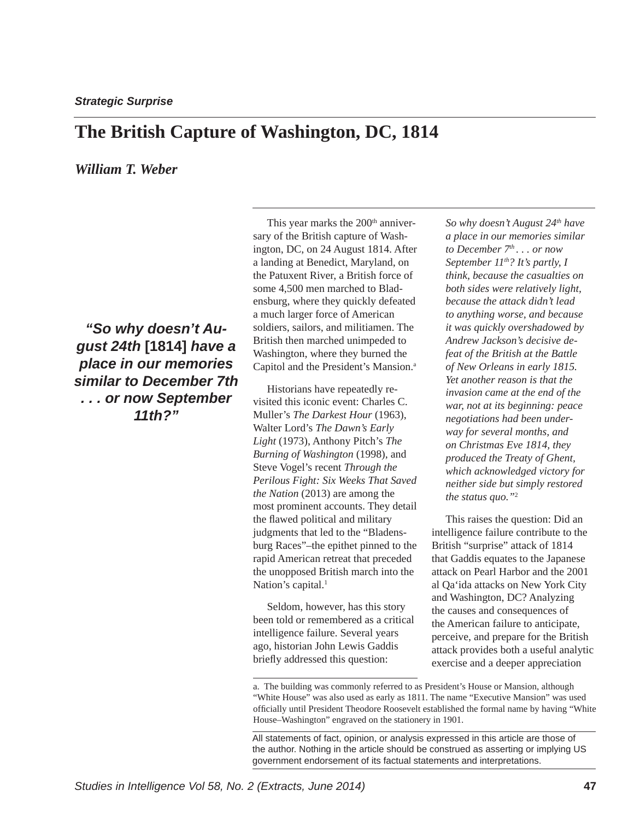## **The British Capture of Washington, DC, 1814**

### *William T. Weber*

*"So why doesn't August 24th* **[1814]** *have a place in our memories similar to December 7th . . . or now September 11th?"*

This year marks the 200<sup>th</sup> anniversary of the British capture of Washington, DC, on 24 August 1814. After a landing at Benedict, Maryland, on the Patuxent River, a British force of some 4,500 men marched to Bladensburg, where they quickly defeated a much larger force of American soldiers, sailors, and militiamen. The British then marched unimpeded to Washington, where they burned the Capitol and the President's Mansion.<sup>a</sup>

Historians have repeatedly revisited this iconic event: Charles C. Muller's *The Darkest Hour* (1963), Walter Lord's *The Dawn's Early Light* (1973), Anthony Pitch's *The Burning of Washington* (1998), and Steve Vogel's recent *Through the Perilous Fight: Six Weeks That Saved the Nation* (2013) are among the most prominent accounts. They detail the flawed political and military judgments that led to the "Bladensburg Races"–the epithet pinned to the rapid American retreat that preceded the unopposed British march into the Nation's capital.<sup>1</sup>

Seldom, however, has this story been told or remembered as a critical intelligence failure. Several years ago, historian John Lewis Gaddis briefly addressed this question:

*So why doesn't August 24th have a place in our memories similar to December 7th . . . or now September*  $11^{th}$ *? It's partly, I think, because the casualties on both sides were relatively light, because the attack didn't lead to anything worse, and because it was quickly overshadowed by Andrew Jackson's decisive defeat of the British at the Battle of New Orleans in early 1815. Yet another reason is that the invasion came at the end of the war, not at its beginning: peace negotiations had been underway for several months, and on Christmas Eve 1814, they produced the Treaty of Ghent, which acknowledged victory for neither side but simply restored the status quo."*<sup>2</sup>

This raises the question: Did an intelligence failure contribute to the British "surprise" attack of 1814 that Gaddis equates to the Japanese attack on Pearl Harbor and the 2001 al Qa'ida attacks on New York City and Washington, DC? Analyzing the causes and consequences of the American failure to anticipate, perceive, and prepare for the British attack provides both a useful analytic exercise and a deeper appreciation

a. The building was commonly referred to as President's House or Mansion, although "White House" was also used as early as 1811. The name "Executive Mansion" was used officially until President Theodore Roosevelt established the formal name by having "White House–Washington" engraved on the stationery in 1901.

All statements of fact, opinion, or analysis expressed in this article are those of the author. Nothing in the article should be construed as asserting or implying US government endorsement of its factual statements and interpretations.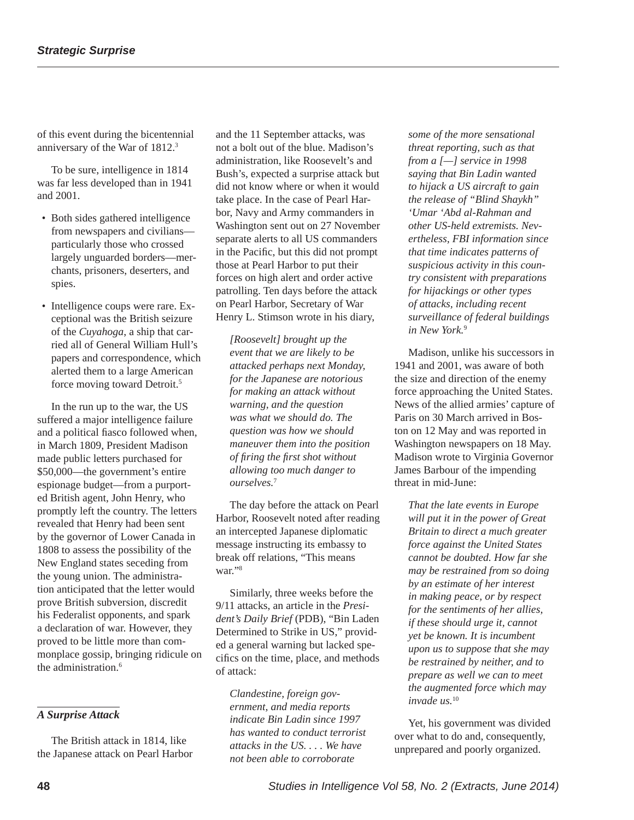of this event during the bicentennial anniversary of the War of 1812.3

To be sure, intelligence in 1814 was far less developed than in 1941 and 2001.

- Both sides gathered intelligence from newspapers and civilians particularly those who crossed largely unguarded borders—merchants, prisoners, deserters, and spies.
- Intelligence coups were rare. Exceptional was the British seizure of the *Cuyahoga*, a ship that carried all of General William Hull's papers and correspondence, which alerted them to a large American force moving toward Detroit.<sup>5</sup>

In the run up to the war, the US suffered a major intelligence failure and a political fiasco followed when, in March 1809, President Madison made public letters purchased for \$50,000—the government's entire espionage budget—from a purported British agent, John Henry, who promptly left the country. The letters revealed that Henry had been sent by the governor of Lower Canada in 1808 to assess the possibility of the New England states seceding from the young union. The administration anticipated that the letter would prove British subversion, discredit his Federalist opponents, and spark a declaration of war. However, they proved to be little more than commonplace gossip, bringing ridicule on the administration.<sup>6</sup>

### *A Surprise Attack*

The British attack in 1814, like the Japanese attack on Pearl Harbor and the 11 September attacks, was not a bolt out of the blue. Madison's administration, like Roosevelt's and Bush's, expected a surprise attack but did not know where or when it would take place. In the case of Pearl Harbor, Navy and Army commanders in Washington sent out on 27 November separate alerts to all US commanders in the Pacific, but this did not prompt those at Pearl Harbor to put their forces on high alert and order active patrolling. Ten days before the attack on Pearl Harbor, Secretary of War Henry L. Stimson wrote in his diary,

*[Roosevelt] brought up the event that we are likely to be attacked perhaps next Monday, for the Japanese are notorious for making an attack without warning, and the question was what we should do. The question was how we should maneuver them into the position of fi ring the fi rst shot without allowing too much danger to ourselves.*<sup>7</sup>

The day before the attack on Pearl Harbor, Roosevelt noted after reading an intercepted Japanese diplomatic message instructing its embassy to break off relations, "This means war."<sup>8</sup>

Similarly, three weeks before the 9/11 attacks, an article in the *President's Daily Brief* (PDB), "Bin Laden Determined to Strike in US," provided a general warning but lacked specifics on the time, place, and methods of attack:

*Clandestine, foreign government, and media reports indicate Bin Ladin since 1997 has wanted to conduct terrorist attacks in the US. . . . We have not been able to corroborate* 

*some of the more sensational threat reporting, such as that from a [—] service in 1998 saying that Bin Ladin wanted to hijack a US aircraft to gain the release of "Blind Shaykh" 'Umar 'Abd al-Rahman and other US-held extremists. Nevertheless, FBI information since that time indicates patterns of suspicious activity in this country consistent with preparations for hijackings or other types of attacks, including recent surveillance of federal buildings in New York.*<sup>9</sup>

Madison, unlike his successors in 1941 and 2001, was aware of both the size and direction of the enemy force approaching the United States. News of the allied armies' capture of Paris on 30 March arrived in Boston on 12 May and was reported in Washington newspapers on 18 May. Madison wrote to Virginia Governor James Barbour of the impending threat in mid-June:

*That the late events in Europe will put it in the power of Great Britain to direct a much greater force against the United States cannot be doubted. How far she may be restrained from so doing by an estimate of her interest in making peace, or by respect for the sentiments of her allies, if these should urge it, cannot yet be known. It is incumbent upon us to suppose that she may be restrained by neither, and to prepare as well we can to meet the augmented force which may invade us.*<sup>10</sup>

Yet, his government was divided over what to do and, consequently, unprepared and poorly organized.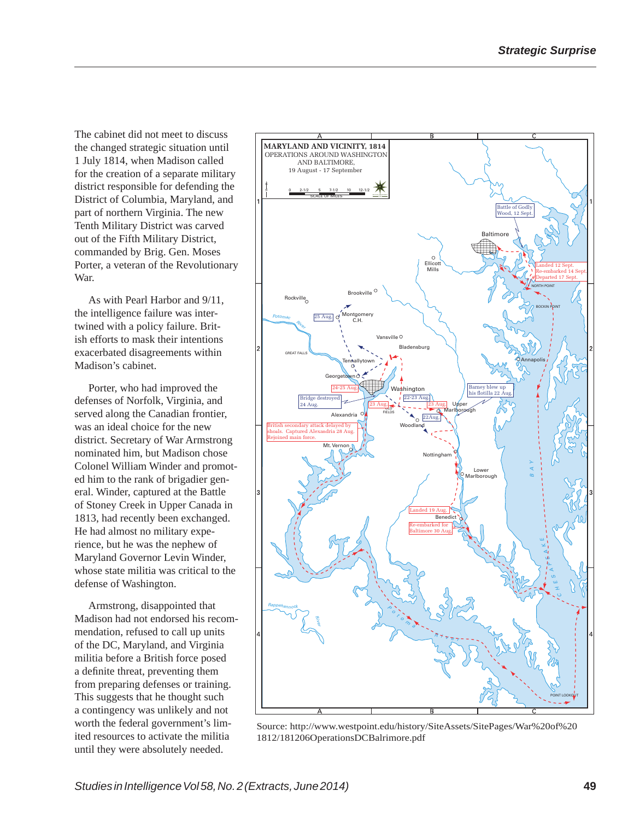The cabinet did not meet to discuss the changed strategic situation until 1 July 1814, when Madison called for the creation of a separate military district responsible for defending the District of Columbia, Maryland, and part of northern Virginia. The new Tenth Military District was carved out of the Fifth Military District, commanded by Brig. Gen. Moses Porter, a veteran of the Revolutionary War.

As with Pearl Harbor and 9/11, the intelligence failure was intertwined with a policy failure. British efforts to mask their intentions exacerbated disagreements within Madison's cabinet.

Porter, who had improved the defenses of Norfolk, Virginia, and served along the Canadian frontier, was an ideal choice for the new district. Secretary of War Armstrong nominated him, but Madison chose Colonel William Winder and promoted him to the rank of brigadier general. Winder, captured at the Battle of Stoney Creek in Upper Canada in 1813, had recently been exchanged. He had almost no military experience, but he was the nephew of Maryland Governor Levin Winder, whose state militia was critical to the defense of Washington.

Armstrong, disappointed that Madison had not endorsed his recommendation, refused to call up units of the DC, Maryland, and Virginia militia before a British force posed a definite threat, preventing them from preparing defenses or training. This suggests that he thought such a contingency was unlikely and not worth the federal government's limited resources to activate the militia until they were absolutely needed.



Source: http://www.westpoint.edu/history/SiteAssets/SitePages/War%20of%20 1812/181206OperationsDCBalrimore.pdf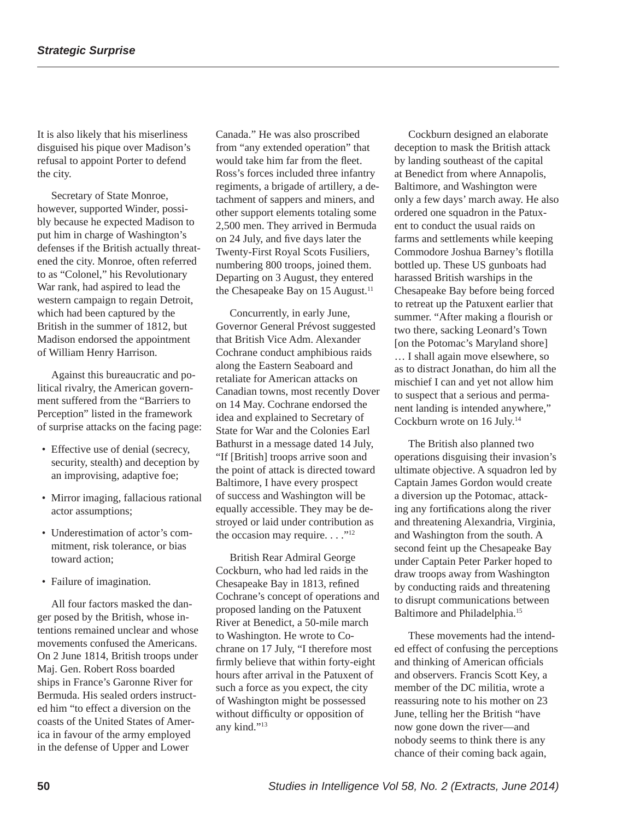It is also likely that his miserliness disguised his pique over Madison's refusal to appoint Porter to defend the city.

Secretary of State Monroe, however, supported Winder, possibly because he expected Madison to put him in charge of Washington's defenses if the British actually threatened the city. Monroe, often referred to as "Colonel," his Revolutionary War rank, had aspired to lead the western campaign to regain Detroit, which had been captured by the British in the summer of 1812, but Madison endorsed the appointment of William Henry Harrison.

Against this bureaucratic and political rivalry, the American government suffered from the "Barriers to Perception" listed in the framework of surprise attacks on the facing page:

- Effective use of denial (secrecy, security, stealth) and deception by an improvising, adaptive foe;
- Mirror imaging, fallacious rational actor assumptions;
- Underestimation of actor's commitment, risk tolerance, or bias toward action;
- Failure of imagination.

All four factors masked the danger posed by the British, whose intentions remained unclear and whose movements confused the Americans. On 2 June 1814, British troops under Maj. Gen. Robert Ross boarded ships in France's Garonne River for Bermuda. His sealed orders instructed him "to effect a diversion on the coasts of the United States of America in favour of the army employed in the defense of Upper and Lower

Canada." He was also proscribed from "any extended operation" that would take him far from the fleet. Ross's forces included three infantry regiments, a brigade of artillery, a detachment of sappers and miners, and other support elements totaling some 2,500 men. They arrived in Bermuda on 24 July, and five days later the Twenty-First Royal Scots Fusiliers, numbering 800 troops, joined them. Departing on 3 August, they entered the Chesapeake Bay on 15 August.<sup>11</sup>

Concurrently, in early June, Governor General Prévost suggested that British Vice Adm. Alexander Cochrane conduct amphibious raids along the Eastern Seaboard and retaliate for American attacks on Canadian towns, most recently Dover on 14 May. Cochrane endorsed the idea and explained to Secretary of State for War and the Colonies Earl Bathurst in a message dated 14 July, "If [British] troops arrive soon and the point of attack is directed toward Baltimore, I have every prospect of success and Washington will be equally accessible. They may be destroyed or laid under contribution as the occasion may require. . . ."<sup>12</sup>

British Rear Admiral George Cockburn, who had led raids in the Chesapeake Bay in 1813, refined Cochrane's concept of operations and proposed landing on the Patuxent River at Benedict, a 50-mile march to Washington. He wrote to Cochrane on 17 July, "I therefore most firmly believe that within forty-eight hours after arrival in the Patuxent of such a force as you expect, the city of Washington might be possessed without difficulty or opposition of any kind."13

Cockburn designed an elaborate deception to mask the British attack by landing southeast of the capital at Benedict from where Annapolis, Baltimore, and Washington were only a few days' march away. He also ordered one squadron in the Patuxent to conduct the usual raids on farms and settlements while keeping Commodore Joshua Barney's flotilla bottled up. These US gunboats had harassed British warships in the Chesapeake Bay before being forced to retreat up the Patuxent earlier that summer. "After making a flourish or two there, sacking Leonard's Town [on the Potomac's Maryland shore] … I shall again move elsewhere, so as to distract Jonathan, do him all the mischief I can and yet not allow him to suspect that a serious and permanent landing is intended anywhere," Cockburn wrote on 16 July.14

The British also planned two operations disguising their invasion's ultimate objective. A squadron led by Captain James Gordon would create a diversion up the Potomac, attacking any fortifications along the river and threatening Alexandria, Virginia, and Washington from the south. A second feint up the Chesapeake Bay under Captain Peter Parker hoped to draw troops away from Washington by conducting raids and threatening to disrupt communications between Baltimore and Philadelphia.15

These movements had the intended effect of confusing the perceptions and thinking of American officials and observers. Francis Scott Key, a member of the DC militia, wrote a reassuring note to his mother on 23 June, telling her the British "have now gone down the river—and nobody seems to think there is any chance of their coming back again,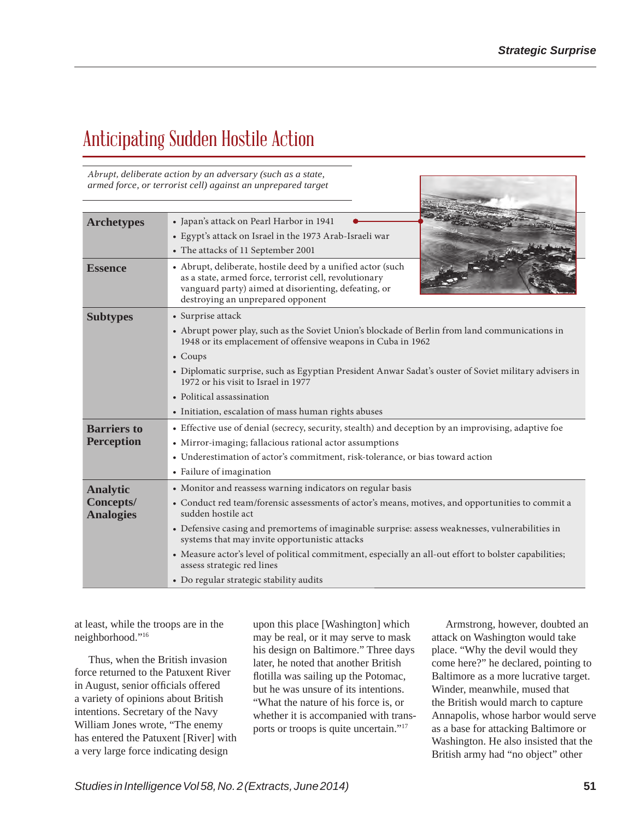# Anticipating Sudden Hostile Action

Abrupt, *deliberate action by an adversary (such as a state, armed force, or terrorist cell) against an unprepared target*

| <b>Archetypes</b>                    | • Japan's attack on Pearl Harbor in 1941                                                                                                                                                                           |
|--------------------------------------|--------------------------------------------------------------------------------------------------------------------------------------------------------------------------------------------------------------------|
|                                      | • Egypt's attack on Israel in the 1973 Arab-Israeli war                                                                                                                                                            |
|                                      | • The attacks of 11 September 2001                                                                                                                                                                                 |
| <b>Essence</b>                       | • Abrupt, deliberate, hostile deed by a unified actor (such<br>as a state, armed force, terrorist cell, revolutionary<br>vanguard party) aimed at disorienting, defeating, or<br>destroying an unprepared opponent |
| <b>Subtypes</b>                      | • Surprise attack                                                                                                                                                                                                  |
|                                      | • Abrupt power play, such as the Soviet Union's blockade of Berlin from land communications in<br>1948 or its emplacement of offensive weapons in Cuba in 1962                                                     |
|                                      | $\bullet$ Coups                                                                                                                                                                                                    |
|                                      | • Diplomatic surprise, such as Egyptian President Anwar Sadat's ouster of Soviet military advisers in<br>1972 or his visit to Israel in 1977                                                                       |
|                                      | • Political assassination                                                                                                                                                                                          |
|                                      | • Initiation, escalation of mass human rights abuses                                                                                                                                                               |
| <b>Barriers to</b>                   | • Effective use of denial (secrecy, security, stealth) and deception by an improvising, adaptive foe                                                                                                               |
| <b>Perception</b>                    | • Mirror-imaging; fallacious rational actor assumptions                                                                                                                                                            |
|                                      | • Underestimation of actor's commitment, risk-tolerance, or bias toward action                                                                                                                                     |
|                                      | • Failure of imagination                                                                                                                                                                                           |
| <b>Analytic</b>                      | • Monitor and reassess warning indicators on regular basis                                                                                                                                                         |
| <b>Concepts/</b><br><b>Analogies</b> | • Conduct red team/forensic assessments of actor's means, motives, and opportunities to commit a<br>sudden hostile act                                                                                             |
|                                      | • Defensive casing and premortems of imaginable surprise: assess weaknesses, vulnerabilities in<br>systems that may invite opportunistic attacks                                                                   |
|                                      | • Measure actor's level of political commitment, especially an all-out effort to bolster capabilities;<br>assess strategic red lines                                                                               |
|                                      | • Do regular strategic stability audits                                                                                                                                                                            |

at least, while the troops are in the neighborhood."16

Thus, when the British invasion force returned to the Patuxent River in August, senior officials offered a variety of opinions about British intentions. Secretary of the Navy William Jones wrote, "The enemy has entered the Patuxent [River] with a very large force indicating design

upon this place [Washington] which may be real, or it may serve to mask his design on Baltimore." Three days later, he noted that another British flotilla was sailing up the Potomac, but he was unsure of its intentions. "What the nature of his force is, or whether it is accompanied with transports or troops is quite uncertain."17

Armstrong, however, doubted an attack on Washington would take place. "Why the devil would they come here?" he declared, pointing to Baltimore as a more lucrative target. Winder, meanwhile, mused that the British would march to capture Annapolis, whose harbor would serve as a base for attacking Baltimore or Washington. He also insisted that the British army had "no object" other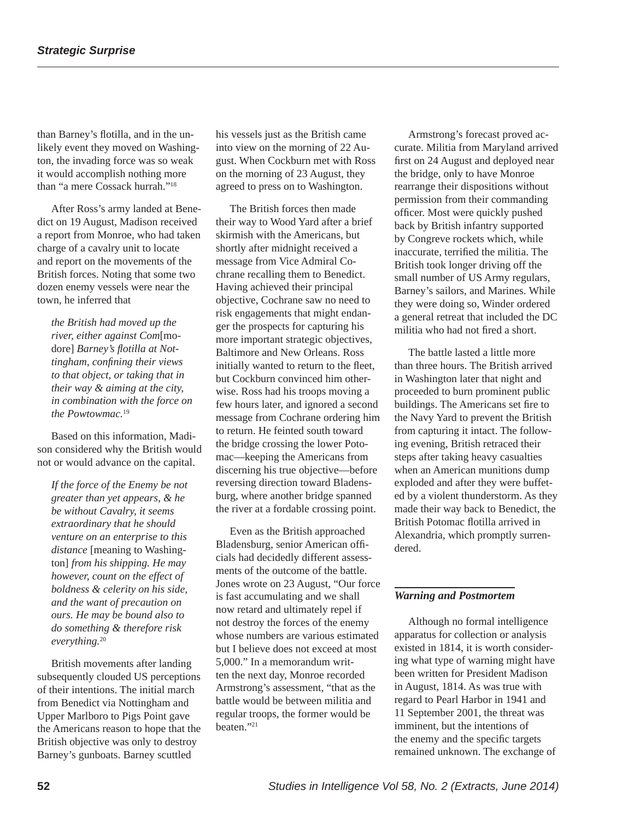than Barney's flotilla, and in the unlikely event they moved on Washington, the invading force was so weak it would accomplish nothing more than "a mere Cossack hurrah."18

After Ross's army landed at Benedict on 19 August, Madison received a report from Monroe, who had taken charge of a cavalry unit to locate and report on the movements of the British forces. Noting that some two dozen enemy vessels were near the town, he inferred that

*the British had moved up the river, either against Com*[modore] *Barney's flotilla at Nottingham, confining their views to that object, or taking that in their way & aiming at the city, in combination with the force on the Powtowmac.*<sup>19</sup>

Based on this information, Madison considered why the British would not or would advance on the capital.

*If the force of the Enemy be not greater than yet appears, & he be without Cavalry, it seems extraordinary that he should venture on an enterprise to this distance* [meaning to Washington] *from his shipping. He may however, count on the effect of boldness & celerity on his side, and the want of precaution on ours. He may be bound also to do something & therefore risk everything.*<sup>20</sup>

British movements after landing subsequently clouded US perceptions of their intentions. The initial march from Benedict via Nottingham and Upper Marlboro to Pigs Point gave the Americans reason to hope that the British objective was only to destroy Barney's gunboats. Barney scuttled

his vessels just as the British came into view on the morning of 22 August. When Cockburn met with Ross on the morning of 23 August, they agreed to press on to Washington.

The British forces then made their way to Wood Yard after a brief skirmish with the Americans, but shortly after midnight received a message from Vice Admiral Cochrane recalling them to Benedict. Having achieved their principal objective, Cochrane saw no need to risk engagements that might endanger the prospects for capturing his more important strategic objectives, Baltimore and New Orleans. Ross initially wanted to return to the fleet, but Cockburn convinced him otherwise. Ross had his troops moving a few hours later, and ignored a second message from Cochrane ordering him to return. He feinted south toward the bridge crossing the lower Potomac—keeping the Americans from discerning his true objective—before reversing direction toward Bladensburg, where another bridge spanned the river at a fordable crossing point.

Even as the British approached Bladensburg, senior American officials had decidedly different assessments of the outcome of the battle. Jones wrote on 23 August, "Our force is fast accumulating and we shall now retard and ultimately repel if not destroy the forces of the enemy whose numbers are various estimated but I believe does not exceed at most 5,000." In a memorandum written the next day, Monroe recorded Armstrong's assessment, "that as the battle would be between militia and regular troops, the former would be beaten."21

Armstrong's forecast proved accurate. Militia from Maryland arrived first on 24 August and deployed near the bridge, only to have Monroe rearrange their dispositions without permission from their commanding officer. Most were quickly pushed back by British infantry supported by Congreve rockets which, while inaccurate, terrified the militia. The British took longer driving off the small number of US Army regulars, Barney's sailors, and Marines. While they were doing so, Winder ordered a general retreat that included the DC militia who had not fired a short.

The battle lasted a little more than three hours. The British arrived in Washington later that night and proceeded to burn prominent public buildings. The Americans set fire to the Navy Yard to prevent the British from capturing it intact. The following evening, British retraced their steps after taking heavy casualties when an American munitions dump exploded and after they were buffeted by a violent thunderstorm. As they made their way back to Benedict, the British Potomac flotilla arrived in Alexandria, which promptly surrendered.

### *Warning and Postmortem*

Although no formal intelligence apparatus for collection or analysis existed in 1814, it is worth considering what type of warning might have been written for President Madison in August, 1814. As was true with regard to Pearl Harbor in 1941 and 11 September 2001, the threat was imminent, but the intentions of the enemy and the specific targets remained unknown. The exchange of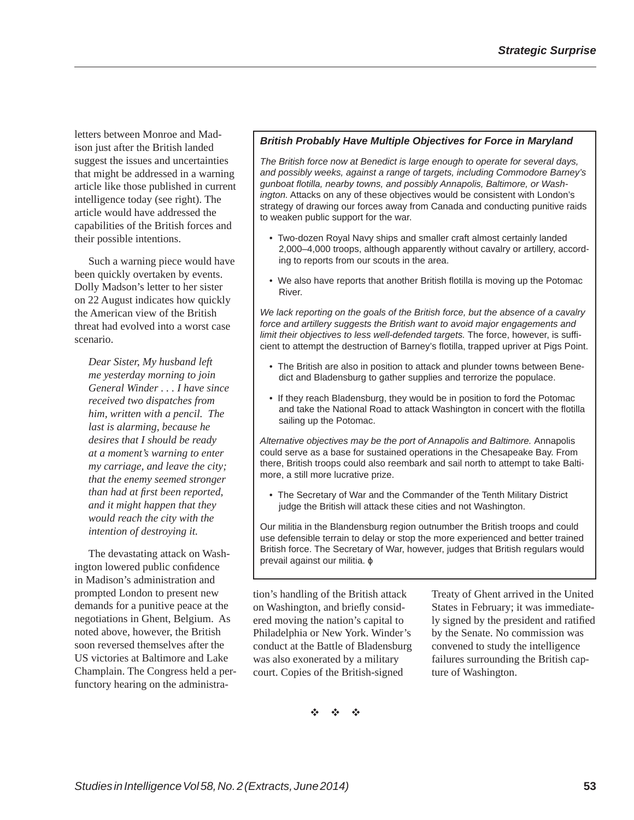letters between Monroe and Madison just after the British landed suggest the issues and uncertainties that might be addressed in a warning article like those published in current intelligence today (see right). The article would have addressed the capabilities of the British forces and their possible intentions.

Such a warning piece would have been quickly overtaken by events. Dolly Madson's letter to her sister on 22 August indicates how quickly the American view of the British threat had evolved into a worst case scenario.

*Dear Sister, My husband left me yesterday morning to join General Winder . . . I have since received two dispatches from him, written with a pencil. The last is alarming, because he desires that I should be ready at a moment's warning to enter my carriage, and leave the city; that the enemy seemed stronger than had at fi rst been reported, and it might happen that they would reach the city with the intention of destroying it.* 

The devastating attack on Washington lowered public confidence in Madison's administration and prompted London to present new demands for a punitive peace at the negotiations in Ghent, Belgium. As noted above, however, the British soon reversed themselves after the US victories at Baltimore and Lake Champlain. The Congress held a perfunctory hearing on the administra-

### *British Probably Have Multiple Objectives for Force in Maryland*

*The British force now at Benedict is large enough to operate for several days, and possibly weeks, against a range of targets, including Commodore Barney's gunboat fl otilla, nearby towns, and possibly Annapolis, Baltimore, or Washington.* Attacks on any of these objectives would be consistent with London's strategy of drawing our forces away from Canada and conducting punitive raids to weaken public support for the war.

- Two-dozen Royal Navy ships and smaller craft almost certainly landed 2,000–4,000 troops, although apparently without cavalry or artillery, according to reports from our scouts in the area.
- We also have reports that another British flotilla is moving up the Potomac River.

*We lack reporting on the goals of the British force, but the absence of a cavalry force and artillery suggests the British want to avoid major engagements and limit their objectives to less well-defended targets.* The force, however, is sufficient to attempt the destruction of Barney's flotilla, trapped upriver at Pigs Point.

- The British are also in position to attack and plunder towns between Benedict and Bladensburg to gather supplies and terrorize the populace.
- If they reach Bladensburg, they would be in position to ford the Potomac and take the National Road to attack Washington in concert with the flotilla sailing up the Potomac.

*Alternative objectives may be the port of Annapolis and Baltimore.* Annapolis could serve as a base for sustained operations in the Chesapeake Bay. From there, British troops could also reembark and sail north to attempt to take Baltimore, a still more lucrative prize.

• The Secretary of War and the Commander of the Tenth Military District judge the British will attack these cities and not Washington.

Our militia in the Blandensburg region outnumber the British troops and could use defensible terrain to delay or stop the more experienced and better trained British force. The Secretary of War, however, judges that British regulars would prevail against our militia. ɸ

tion's handling of the British attack on Washington, and briefly considered moving the nation's capital to Philadelphia or New York. Winder's conduct at the Battle of Bladensburg was also exonerated by a military court. Copies of the British-signed

Treaty of Ghent arrived in the United States in February; it was immediately signed by the president and ratified by the Senate. No commission was convened to study the intelligence failures surrounding the British capture of Washington.

 $\mathcal{L} = \mathcal{L}$